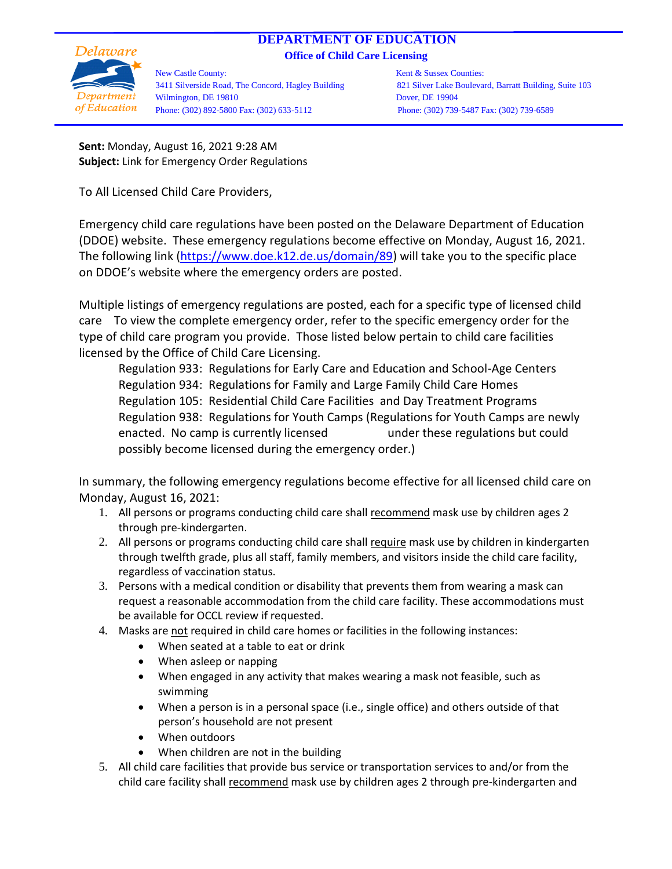## **DEPARTMENT OF EDUCATION**

**Office of Child Care Licensing**



New Castle County: The Counties: Kent & Sussex Counties: 3411 Silverside Road, The Concord, Hagley Building 821 Silver Lake Boulevard, Barratt Building, Suite 103 Wilmington, DE 19810 Dover, DE 19904 Phone: (302) 892-5800 Fax: (302) 633-5112 Phone: (302) 739-5487 Fax: (302) 739-6589

**Sent:** Monday, August 16, 2021 9:28 AM **Subject:** Link for Emergency Order Regulations

To All Licensed Child Care Providers,

Emergency child care regulations have been posted on the Delaware Department of Education (DDOE) website. These emergency regulations become effective on Monday, August 16, 2021. The following link [\(https://www.doe.k12.de.us/domain/89\)](https://www.doe.k12.de.us/domain/89) will take you to the specific place on DDOE's website where the emergency orders are posted.

Multiple listings of emergency regulations are posted, each for a specific type of licensed child care To view the complete emergency order, refer to the specific emergency order for the type of child care program you provide. Those listed below pertain to child care facilities licensed by the Office of Child Care Licensing.

Regulation 933: Regulations for Early Care and Education and School-Age Centers Regulation 934: Regulations for Family and Large Family Child Care Homes Regulation 105: Residential Child Care Facilities and Day Treatment Programs Regulation 938: Regulations for Youth Camps (Regulations for Youth Camps are newly enacted. No camp is currently licensed under these regulations but could possibly become licensed during the emergency order.)

In summary, the following emergency regulations become effective for all licensed child care on Monday, August 16, 2021:

- 1. All persons or programs conducting child care shall recommend mask use by children ages 2 through pre-kindergarten.
- 2. All persons or programs conducting child care shall require mask use by children in kindergarten through twelfth grade, plus all staff, family members, and visitors inside the child care facility, regardless of vaccination status.
- 3. Persons with a medical condition or disability that prevents them from wearing a mask can request a reasonable accommodation from the child care facility. These accommodations must be available for OCCL review if requested.
- 4. Masks are not required in child care homes or facilities in the following instances:
	- When seated at a table to eat or drink
	- When asleep or napping
	- When engaged in any activity that makes wearing a mask not feasible, such as swimming
	- When a person is in a personal space (i.e., single office) and others outside of that person's household are not present
	- When outdoors
	- When children are not in the building
- 5. All child care facilities that provide bus service or transportation services to and/or from the child care facility shall recommend mask use by children ages 2 through pre-kindergarten and